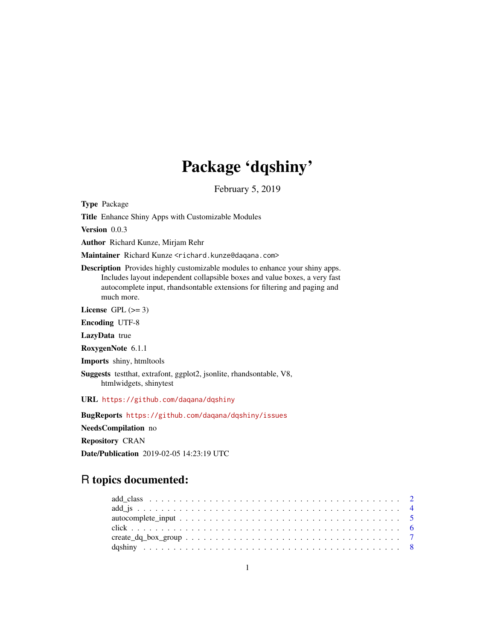## Package 'dqshiny'

February 5, 2019

<span id="page-0-0"></span>Type Package

Title Enhance Shiny Apps with Customizable Modules

Version 0.0.3

Author Richard Kunze, Mirjam Rehr

Maintainer Richard Kunze <richard.kunze@daqana.com>

Description Provides highly customizable modules to enhance your shiny apps. Includes layout independent collapsible boxes and value boxes, a very fast autocomplete input, rhandsontable extensions for filtering and paging and much more.

License GPL  $(>= 3)$ 

Encoding UTF-8

LazyData true

RoxygenNote 6.1.1

Imports shiny, htmltools

Suggests testthat, extrafont, ggplot2, jsonlite, rhandsontable, V8, htmlwidgets, shinytest

URL <https://github.com/daqana/dqshiny>

BugReports <https://github.com/daqana/dqshiny/issues>

NeedsCompilation no

Repository CRAN

Date/Publication 2019-02-05 14:23:19 UTC

## R topics documented: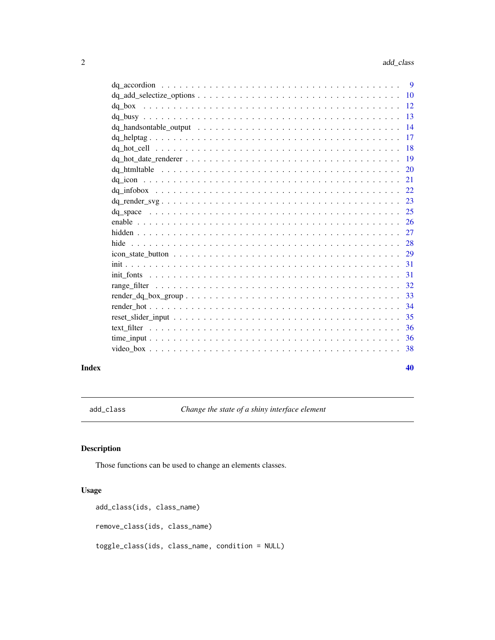<span id="page-1-0"></span>

| 10              |  |
|-----------------|--|
| -12<br>da box   |  |
| 13              |  |
| $\overline{14}$ |  |
| 17              |  |
| 18              |  |
| -19             |  |
| 20              |  |
| 21              |  |
| 22              |  |
| 23              |  |
| 25              |  |
| -26             |  |
| 27              |  |
| 28              |  |
| 29              |  |
| 31              |  |
| 31              |  |
| 32              |  |
| 33              |  |
| 34              |  |
| 35              |  |
| 36              |  |
| 36              |  |
| 38              |  |
|                 |  |

#### $\blacksquare$

<span id="page-1-1"></span>add\_class *Change the state of a shiny interface element*

### Description

Those functions can be used to change an elements classes.

### Usage

```
add_class(ids, class_name)
remove_class(ids, class_name)
toggle_class(ids, class_name, condition = NULL)
```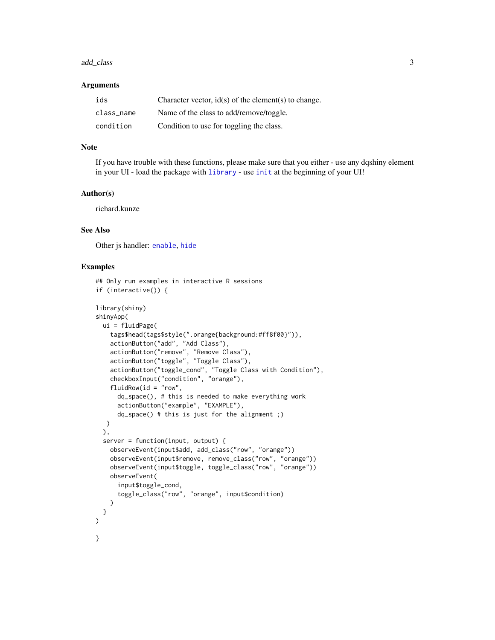#### <span id="page-2-0"></span>add\_class 3

#### Arguments

| ids        | Character vector, $id(s)$ of the element(s) to change. |
|------------|--------------------------------------------------------|
| class name | Name of the class to add/remove/toggle.                |
| condition  | Condition to use for toggling the class.               |

#### **Note**

If you have trouble with these functions, please make sure that you either - use any dqshiny element in your UI - load the package with [library](#page-0-0) - use [init](#page-30-1) at the beginning of your UI!

#### Author(s)

richard.kunze

### See Also

Other js handler: [enable](#page-25-1), [hide](#page-27-1)

```
## Only run examples in interactive R sessions
if (interactive()) {
library(shiny)
shinyApp(
 ui = fluidPage(
   tags$head(tags$style(".orange{background:#ff8f00}")),
    actionButton("add", "Add Class"),
   actionButton("remove", "Remove Class"),
    actionButton("toggle", "Toggle Class"),
    actionButton("toggle_cond", "Toggle Class with Condition"),
    checkboxInput("condition", "orange"),
    fluidRow(id = "row",
      dq_space(), # this is needed to make everything work
      actionButton("example", "EXAMPLE"),
      dq_space() # this is just for the alignment ;)
  )
  ),
  server = function(input, output) {
   observeEvent(input$add, add_class("row", "orange"))
    observeEvent(input$remove, remove_class("row", "orange"))
    observeEvent(input$toggle, toggle_class("row", "orange"))
    observeEvent(
      input$toggle_cond,
      toggle_class("row", "orange", input$condition)
   )
  }
)
}
```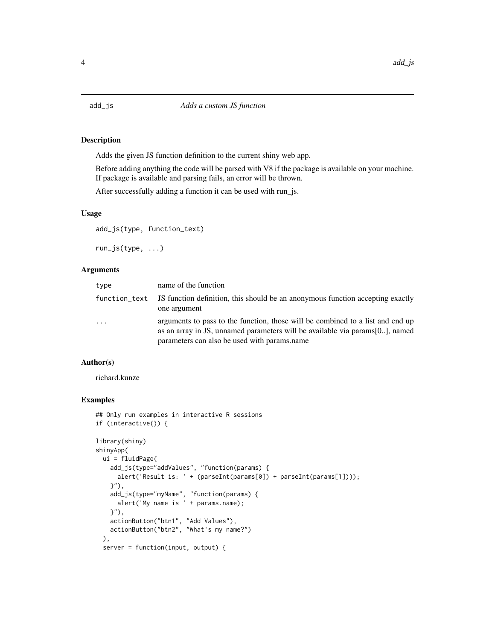<span id="page-3-0"></span>

Adds the given JS function definition to the current shiny web app.

Before adding anything the code will be parsed with V8 if the package is available on your machine. If package is available and parsing fails, an error will be thrown.

After successfully adding a function it can be used with run\_js.

### Usage

add\_js(type, function\_text)

run\_js(type, ...)

#### Arguments

| type          | name of the function                                                                                                                                                                                            |
|---------------|-----------------------------------------------------------------------------------------------------------------------------------------------------------------------------------------------------------------|
| function_text | JS function definition, this should be an anonymous function accepting exactly<br>one argument                                                                                                                  |
| $\ddotsc$     | arguments to pass to the function, those will be combined to a list and end up<br>as an array in JS, unnamed parameters will be available via params [0], named<br>parameters can also be used with params.name |

#### Author(s)

richard.kunze

```
## Only run examples in interactive R sessions
if (interactive()) {
library(shiny)
shinyApp(
 ui = fluidPage(
   add_js(type="addValues", "function(params) {
     alert('Result is: ' + (parseInt(params[0]) + parseInt(params[1])));
    }"),
   add_js(type="myName", "function(params) {
     alert('My name is ' + params.name);
    }"),
   actionButton("btn1", "Add Values"),
   actionButton("btn2", "What's my name?")
 ),
 server = function(input, output) {
```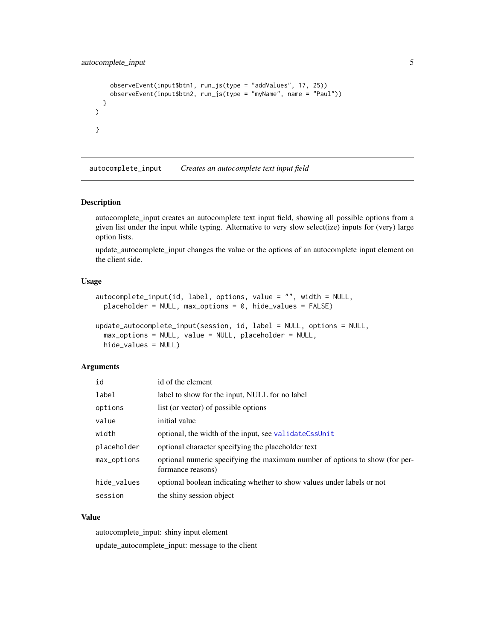```
observeEvent(input$btn1, run_js(type = "addValues", 17, 25))
    observeEvent(input$btn2, run_js(type = "myName", name = "Paul"))
  }
\mathcal{L}}
```
autocomplete\_input *Creates an autocomplete text input field*

#### Description

autocomplete\_input creates an autocomplete text input field, showing all possible options from a given list under the input while typing. Alternative to very slow select(ize) inputs for (very) large option lists.

update\_autocomplete\_input changes the value or the options of an autocomplete input element on the client side.

### Usage

```
autocomplete_input(id, label, options, value = "", width = NULL,
 placeholder = NULL, max_options = 0, hide_values = FALSE)
```

```
update_autocomplete_input(session, id, label = NULL, options = NULL,
 max_options = NULL, value = NULL, placeholder = NULL,
 hide_values = NULL)
```
#### **Arguments**

| id          | id of the element                                                                                |
|-------------|--------------------------------------------------------------------------------------------------|
| label       | label to show for the input, NULL for no label                                                   |
| options     | list (or vector) of possible options                                                             |
| value       | initial value                                                                                    |
| width       | optional, the width of the input, see validateCssUnit                                            |
| placeholder | optional character specifying the placeholder text                                               |
| max_options | optional numeric specifying the maximum number of options to show (for per-<br>formance reasons) |
| hide_values | optional boolean indicating whether to show values under labels or not                           |
| session     | the shiny session object                                                                         |

#### Value

autocomplete\_input: shiny input element update\_autocomplete\_input: message to the client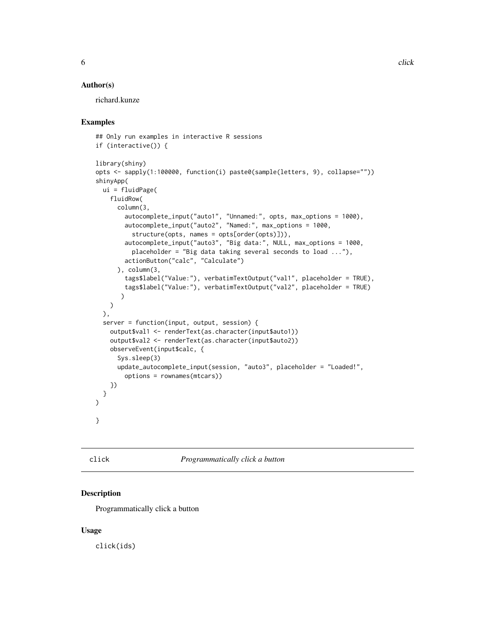#### <span id="page-5-0"></span>Author(s)

richard.kunze

### Examples

```
## Only run examples in interactive R sessions
if (interactive()) {
library(shiny)
opts <- sapply(1:100000, function(i) paste0(sample(letters, 9), collapse=""))
shinyApp(
 ui = fluidPage(
    fluidRow(
      column(3,
        autocomplete_input("auto1", "Unnamed:", opts, max_options = 1000),
        autocomplete_input("auto2", "Named:", max_options = 1000,
          structure(opts, names = opts[order(opts)])),
        autocomplete_input("auto3", "Big data:", NULL, max_options = 1000,
          placeholder = "Big data taking several seconds to load ..."),
        actionButton("calc", "Calculate")
      ), column(3,
        tags$label("Value:"), verbatimTextOutput("val1", placeholder = TRUE),
        tags$label("Value:"), verbatimTextOutput("val2", placeholder = TRUE)
       )
   )
 ),
 server = function(input, output, session) {
   output$val1 <- renderText(as.character(input$auto1))
   output$val2 <- renderText(as.character(input$auto2))
   observeEvent(input$calc, {
      Sys.sleep(3)
      update_autocomplete_input(session, "auto3", placeholder = "Loaded!",
        options = rownames(mtcars))
   })
 }
\mathcal{L}}
```
click *Programmatically click a button*

### Description

Programmatically click a button

#### Usage

click(ids)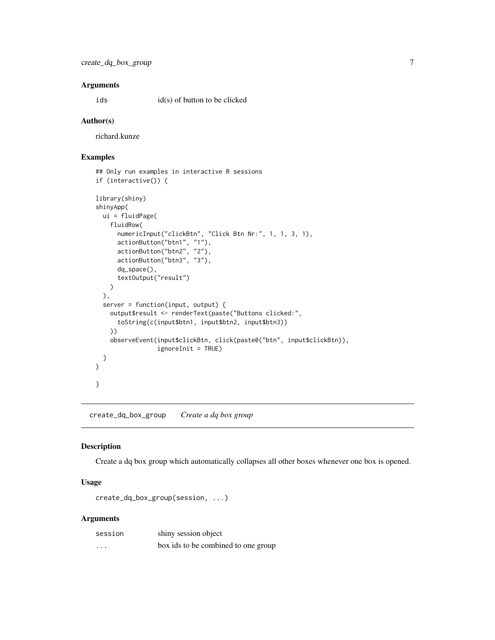#### <span id="page-6-0"></span>Arguments

ids id(s) of button to be clicked

#### Author(s)

richard.kunze

### Examples

```
## Only run examples in interactive R sessions
if (interactive()) {
library(shiny)
shinyApp(
  ui = fluidPage(
    fluidRow(
      numericInput("clickBtn", "Click Btn Nr:", 1, 1, 3, 1),
      actionButton("btn1", "1"),
      actionButton("btn2", "2"),
      actionButton("btn3", "3"),
      dq_space(),
      textOutput("result")
   )
  ),
  server = function(input, output) {
   output$result <- renderText(paste("Buttons clicked:",
      toString(c(input$btn1, input$btn2, input$btn3))
   ))
   observeEvent(input$clickBtn, click(paste0("btn", input$clickBtn)),
                 ignoreInit = TRUE)
  }
)
}
```
create\_dq\_box\_group *Create a dq box group*

### Description

Create a dq box group which automatically collapses all other boxes whenever one box is opened.

### Usage

create\_dq\_box\_group(session, ...)

#### Arguments

| session | shiny session object                |
|---------|-------------------------------------|
| .       | box ids to be combined to one group |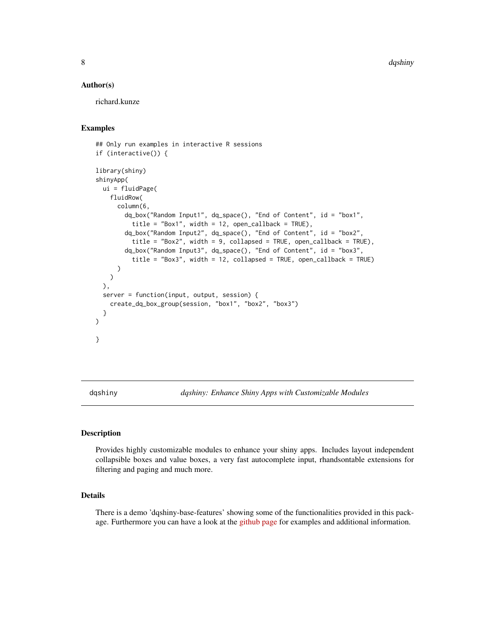<span id="page-7-0"></span>8 dqshiny and the control of the control of the control of the control of the control of the control of the control of the control of the control of the control of the control of the control of the control of the control o

#### Author(s)

richard.kunze

### Examples

```
## Only run examples in interactive R sessions
if (interactive()) {
library(shiny)
shinyApp(
 ui = fluidPage(
   fluidRow(
     column(6,
        dq_box("Random Input1", dq_space(), "End of Content", id = "box1",
          title = "Box1", width = 12, open_callback = TRUE),
        dq_box("Random Input2", dq_space(), "End of Content", id = "box2",
          title = "Box2", width = 9, collapsed = TRUE, open_callback = TRUE),
        dq_box("Random Input3", dq_space(), "End of Content", id = "box3",
          title = "Box3", width = 12, collapsed = TRUE, open_callback = TRUE)
     )
   )
 ),
 server = function(input, output, session) {
    create_dq_box_group(session, "box1", "box2", "box3")
 }
)
}
```
dqshiny *dqshiny: Enhance Shiny Apps with Customizable Modules*

#### Description

Provides highly customizable modules to enhance your shiny apps. Includes layout independent collapsible boxes and value boxes, a very fast autocomplete input, rhandsontable extensions for filtering and paging and much more.

### Details

There is a demo 'dqshiny-base-features' showing some of the functionalities provided in this package. Furthermore you can have a look at the [github page](https://github.com/daqana/dqshiny) for examples and additional information.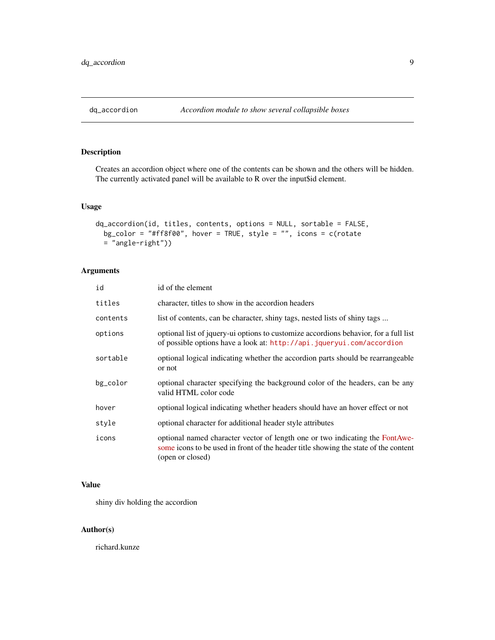<span id="page-8-0"></span>

Creates an accordion object where one of the contents can be shown and the others will be hidden. The currently activated panel will be available to R over the input\$id element.

### Usage

```
dq_accordion(id, titles, contents, options = NULL, sortable = FALSE,
 bg\_color = "#ff8f00", hover = TRUE, style = "", icons = c(rotate
 = "angle-right"))
```
### Arguments

| id       | id of the element                                                                                                                                                                       |
|----------|-----------------------------------------------------------------------------------------------------------------------------------------------------------------------------------------|
| titles   | character, titles to show in the accordion headers                                                                                                                                      |
| contents | list of contents, can be character, shiny tags, nested lists of shiny tags                                                                                                              |
| options  | optional list of jquery-ui options to customize accordions behavior, for a full list<br>of possible options have a look at: http://api.jqueryui.com/accordion                           |
| sortable | optional logical indicating whether the accordion parts should be rearrangeable<br>or not                                                                                               |
| bg_color | optional character specifying the background color of the headers, can be any<br>valid HTML color code                                                                                  |
| hover    | optional logical indicating whether headers should have an hover effect or not                                                                                                          |
| style    | optional character for additional header style attributes                                                                                                                               |
| icons    | optional named character vector of length one or two indicating the FontAwe-<br>some icons to be used in front of the header title showing the state of the content<br>(open or closed) |

### Value

shiny div holding the accordion

### Author(s)

richard.kunze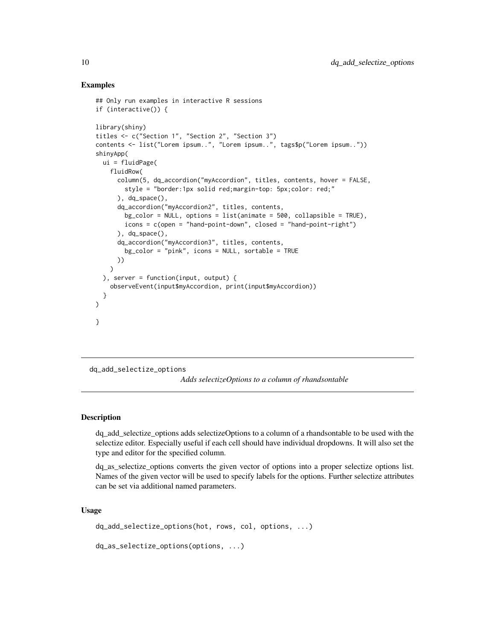#### Examples

```
## Only run examples in interactive R sessions
if (interactive()) {
library(shiny)
titles <- c("Section 1", "Section 2", "Section 3")
contents <- list("Lorem ipsum..", "Lorem ipsum..", tags$p("Lorem ipsum.."))
shinyApp(
 ui = fluidPage(
   fluidRow(
      column(5, dq_accordion("myAccordion", titles, contents, hover = FALSE,
       style = "border:1px solid red;margin-top: 5px;color: red;"
      ), dq_space(),
      dq_accordion("myAccordion2", titles, contents,
       bg\_color = NULL, options = list(animate = 500, collapsible = TRUE),
        icons = c(open = "hand-point-down", closed = "hand-point-right")
      ), dq_space(),
      dq_accordion("myAccordion3", titles, contents,
        bg_color = "pink", icons = NULL, sortable = TRUE
      ))
    \lambda), server = function(input, output) {
    observeEvent(input$myAccordion, print(input$myAccordion))
 }
)
}
```
dq\_add\_selectize\_options

*Adds selectizeOptions to a column of rhandsontable*

#### **Description**

dq\_add\_selectize\_options adds selectizeOptions to a column of a rhandsontable to be used with the selectize editor. Especially useful if each cell should have individual dropdowns. It will also set the type and editor for the specified column.

dq\_as\_selectize\_options converts the given vector of options into a proper selectize options list. Names of the given vector will be used to specify labels for the options. Further selectize attributes can be set via additional named parameters.

#### Usage

```
dq_add_selectize_options(hot, rows, col, options, ...)
```

```
dq_as_selectize_options(options, ...)
```
<span id="page-9-0"></span>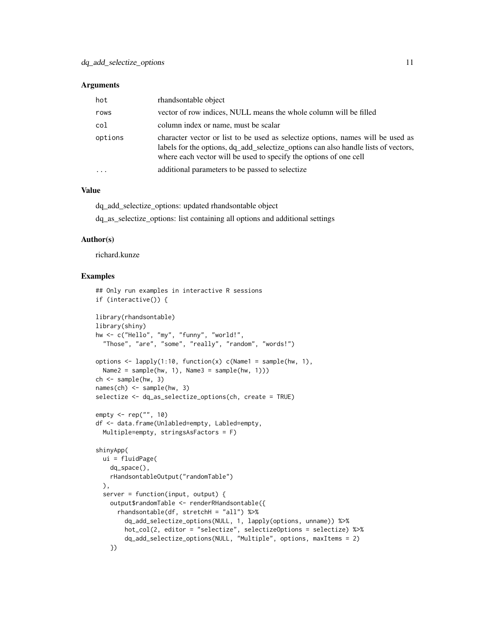#### **Arguments**

| hot                 | rhandsontable object                                                                                                                                                                                                                       |
|---------------------|--------------------------------------------------------------------------------------------------------------------------------------------------------------------------------------------------------------------------------------------|
| rows                | vector of row indices, NULL means the whole column will be filled                                                                                                                                                                          |
| col                 | column index or name, must be scalar                                                                                                                                                                                                       |
| options             | character vector or list to be used as selectize options, names will be used as<br>labels for the options, dq_add_selectize_options can also handle lists of vectors,<br>where each vector will be used to specify the options of one cell |
| $\cdot \cdot \cdot$ | additional parameters to be passed to selectize                                                                                                                                                                                            |

### Value

dq\_add\_selectize\_options: updated rhandsontable object

dq\_as\_selectize\_options: list containing all options and additional settings

#### Author(s)

richard.kunze

```
## Only run examples in interactive R sessions
if (interactive()) {
library(rhandsontable)
library(shiny)
hw <- c("Hello", "my", "funny", "world!",
  "Those", "are", "some", "really", "random", "words!")
options \leq lapply(1:10, function(x) c(Name1 = sample(hw, 1),
  Name2 = sample(hw, 1), Name3 = sample(hw, 1)))
ch <- sample(hw, 3)
names(ch) <- sample(hw, 3)
selectize <- dq_as_selectize_options(ch, create = TRUE)
empty <- rep("", 10)
df <- data.frame(Unlabled=empty, Labled=empty,
  Multiple=empty, stringsAsFactors = F)
shinyApp(
  ui = fluidPage(
   dq_space(),
   rHandsontableOutput("randomTable")
  ),
  server = function(input, output) {
    output$randomTable <- renderRHandsontable({
      rhandsontable(df, stretchH = "all") %>%
        dq_add_selectize_options(NULL, 1, lapply(options, unname)) %>%
        hot_col(2, editor = "selectize", selectizeOptions = selectize) %>%
        dq_add_selectize_options(NULL, "Multiple", options, maxItems = 2)
    })
```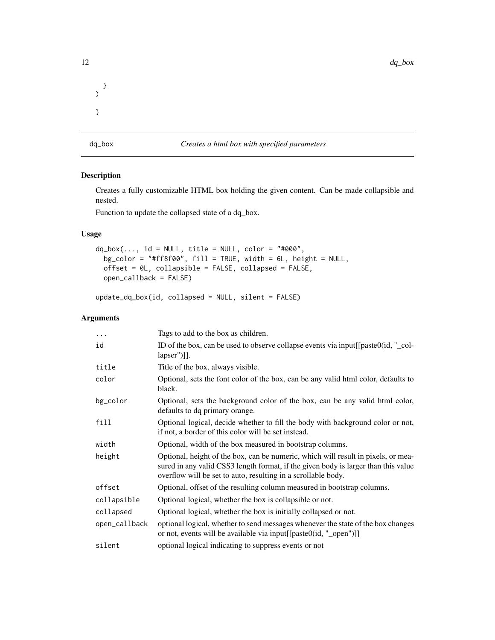<span id="page-11-0"></span>

} )

}

dq\_box *Creates a html box with specified parameters*

### Description

Creates a fully customizable HTML box holding the given content. Can be made collapsible and nested.

Function to update the collapsed state of a dq\_box.

### Usage

```
dq_box(..., id = NULL, title = NULL, color = "#000",bg_color = "#ff8f00", fill = TRUE, width = 6L, height = NULL,
 offset = 0L, collapsible = FALSE, collapsed = FALSE,
 open_callback = FALSE)
```

```
update_dq_box(id, collapsed = NULL, silent = FALSE)
```
### Arguments

| .             | Tags to add to the box as children.                                                                                                                                                                                                      |
|---------------|------------------------------------------------------------------------------------------------------------------------------------------------------------------------------------------------------------------------------------------|
| id            | ID of the box, can be used to observe collapse events via input[[paste0(id, "_col-<br>$[1.1]$ lapser")]].                                                                                                                                |
| title         | Title of the box, always visible.                                                                                                                                                                                                        |
| color         | Optional, sets the font color of the box, can be any valid html color, defaults to<br>black.                                                                                                                                             |
| bg_color      | Optional, sets the background color of the box, can be any valid html color,<br>defaults to dq primary orange.                                                                                                                           |
| fill          | Optional logical, decide whether to fill the body with background color or not,<br>if not, a border of this color will be set instead.                                                                                                   |
| width         | Optional, width of the box measured in bootstrap columns.                                                                                                                                                                                |
| height        | Optional, height of the box, can be numeric, which will result in pixels, or mea-<br>sured in any valid CSS3 length format, if the given body is larger than this value<br>overflow will be set to auto, resulting in a scrollable body. |
| offset        | Optional, offset of the resulting column measured in bootstrap columns.                                                                                                                                                                  |
| collapsible   | Optional logical, whether the box is collapsible or not.                                                                                                                                                                                 |
| collapsed     | Optional logical, whether the box is initially collapsed or not.                                                                                                                                                                         |
| open_callback | optional logical, whether to send messages whenever the state of the box changes<br>or not, events will be available via input[[paste0(id, "_open")]]                                                                                    |
| silent        | optional logical indicating to suppress events or not                                                                                                                                                                                    |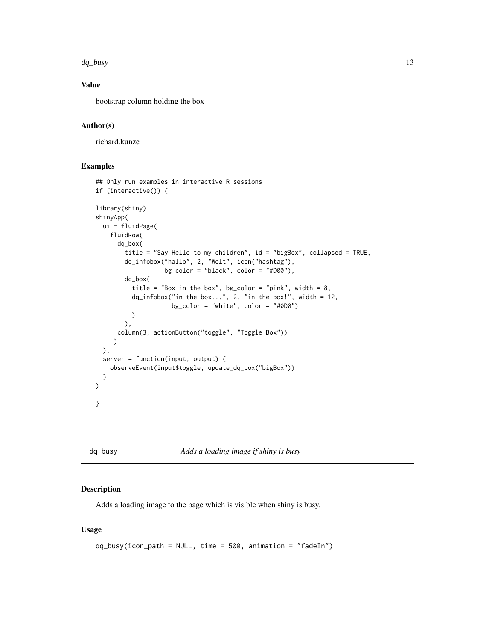<span id="page-12-0"></span>dq\_busy 13

### Value

bootstrap column holding the box

#### Author(s)

richard.kunze

#### Examples

```
## Only run examples in interactive R sessions
if (interactive()) {
library(shiny)
shinyApp(
 ui = fluidPage(
   fluidRow(
      dq_box(
       title = "Say Hello to my children", id = "bigBox", collapsed = TRUE,
        dq_infobox("hallo", 2, "Welt", icon("hashtag"),
                   bg\_color = "black", color = "#D00"),dq_box(
          title = "Box in the box", bg_color = "pink", width = 8,
          dq_infobox("in the box...", 2, "in the box!" , width = 12,bg_color = "white", color = "#0D0")
          )
        ),
      column(3, actionButton("toggle", "Toggle Box"))
     \mathcal{L}),
 server = function(input, output) {
   observeEvent(input$toggle, update_dq_box("bigBox"))
 }
)
}
```

```
dq_busy Adds a loading image if shiny is busy
```
### Description

Adds a loading image to the page which is visible when shiny is busy.

### Usage

```
dq_busy(icon_path = NULL, time = 500, animation = "fadeIn")
```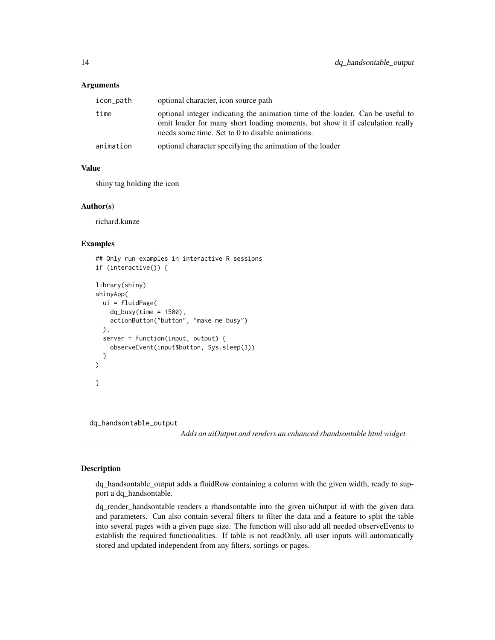#### <span id="page-13-0"></span>Arguments

| icon_path | optional character, icon source path                                                                                                                                                                                |
|-----------|---------------------------------------------------------------------------------------------------------------------------------------------------------------------------------------------------------------------|
| time      | optional integer indicating the animation time of the loader. Can be useful to<br>omit loader for many short loading moments, but show it if calculation really<br>needs some time. Set to 0 to disable animations. |
| animation | optional character specifying the animation of the loader                                                                                                                                                           |

#### Value

shiny tag holding the icon

#### Author(s)

richard.kunze

### Examples

```
## Only run examples in interactive R sessions
if (interactive()) {
library(shiny)
shinyApp(
 ui = fluidPage(
    dq_busy(time = 1500),
    actionButton("button", "make me busy")
 ),
 server = function(input, output) {
    observeEvent(input$button, Sys.sleep(3))
 }
\mathcal{L}}
```
dq\_handsontable\_output

*Adds an uiOutput and renders an enhanced rhandsontable html widget*

### Description

dq\_handsontable\_output adds a fluidRow containing a column with the given width, ready to support a dq\_handsontable.

dq\_render\_handsontable renders a rhandsontable into the given uiOutput id with the given data and parameters. Can also contain several filters to filter the data and a feature to split the table into several pages with a given page size. The function will also add all needed observeEvents to establish the required functionalities. If table is not readOnly, all user inputs will automatically stored and updated independent from any filters, sortings or pages.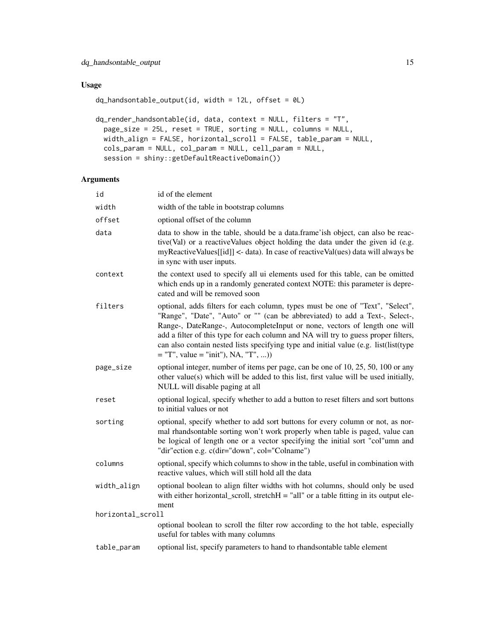### Usage

```
dq_handsontable_output(id, width = 12L, offset = 0L)
```

```
dq_render_handsontable(id, data, context = NULL, filters = "T",
 page_size = 25L, reset = TRUE, sorting = NULL, columns = NULL,
 width_align = FALSE, horizontal_scroll = FALSE, table_param = NULL,
 cols_param = NULL, col_param = NULL, cell_param = NULL,
  session = shiny::getDefaultReactiveDomain())
```
### Arguments

| id                | id of the element                                                                                                                                                                                                                                                                                                                                                                                                                                                 |
|-------------------|-------------------------------------------------------------------------------------------------------------------------------------------------------------------------------------------------------------------------------------------------------------------------------------------------------------------------------------------------------------------------------------------------------------------------------------------------------------------|
| width             | width of the table in bootstrap columns                                                                                                                                                                                                                                                                                                                                                                                                                           |
| offset            | optional offset of the column                                                                                                                                                                                                                                                                                                                                                                                                                                     |
| data              | data to show in the table, should be a data.frame'ish object, can also be reac-<br>tive(Val) or a reactiveValues object holding the data under the given id (e.g.<br>myReactiveValues[[id]] <- data). In case of reactiveVal(ues) data will always be<br>in sync with user inputs.                                                                                                                                                                                |
| context           | the context used to specify all ui elements used for this table, can be omitted<br>which ends up in a randomly generated context NOTE: this parameter is depre-<br>cated and will be removed soon                                                                                                                                                                                                                                                                 |
| filters           | optional, adds filters for each column, types must be one of "Text", "Select",<br>"Range", "Date", "Auto" or "" (can be abbreviated) to add a Text-, Select-,<br>Range-, DateRange-, AutocompleteInput or none, vectors of length one will<br>add a filter of this type for each column and NA will try to guess proper filters,<br>can also contain nested lists specifying type and initial value (e.g. list(list(type<br>$=$ "T", value = "init"), NA, "T", )) |
| page_size         | optional integer, number of items per page, can be one of 10, 25, 50, 100 or any<br>other value(s) which will be added to this list, first value will be used initially,<br>NULL will disable paging at all                                                                                                                                                                                                                                                       |
| reset             | optional logical, specify whether to add a button to reset filters and sort buttons<br>to initial values or not                                                                                                                                                                                                                                                                                                                                                   |
| sorting           | optional, specify whether to add sort buttons for every column or not, as nor-<br>mal rhandsontable sorting won't work properly when table is paged, value can<br>be logical of length one or a vector specifying the initial sort "col"umn and<br>"dir"ection e.g. c(dir="down", col="Colname")                                                                                                                                                                  |
| columns           | optional, specify which columns to show in the table, useful in combination with<br>reactive values, which will still hold all the data                                                                                                                                                                                                                                                                                                                           |
| width_align       | optional boolean to align filter widths with hot columns, should only be used<br>with either horizontal_scroll, stretch $H = "all"$ or a table fitting in its output ele-<br>ment                                                                                                                                                                                                                                                                                 |
| horizontal_scroll |                                                                                                                                                                                                                                                                                                                                                                                                                                                                   |
|                   | optional boolean to scroll the filter row according to the hot table, especially<br>useful for tables with many columns                                                                                                                                                                                                                                                                                                                                           |
| table_param       | optional list, specify parameters to hand to rhandsontable table element                                                                                                                                                                                                                                                                                                                                                                                          |
|                   |                                                                                                                                                                                                                                                                                                                                                                                                                                                                   |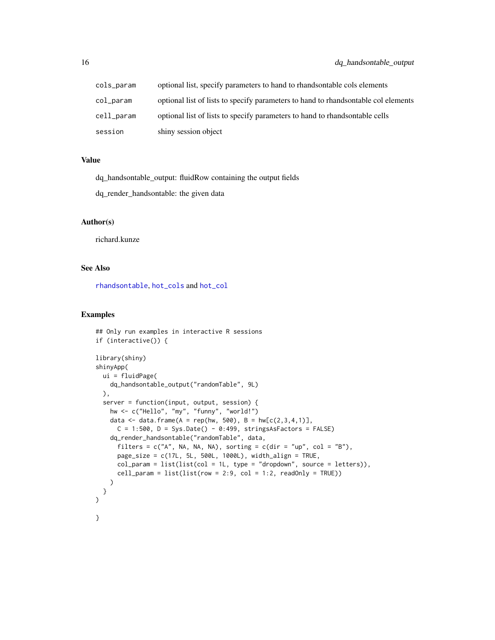<span id="page-15-0"></span>

| cols_param | optional list, specify parameters to hand to rhandsontable cols elements           |
|------------|------------------------------------------------------------------------------------|
| col_param  | optional list of lists to specify parameters to hand to rhandsontable col elements |
| cell_param | optional list of lists to specify parameters to hand to rhandsontable cells        |
| session    | shiny session object                                                               |

#### Value

dq\_handsontable\_output: fluidRow containing the output fields

dq\_render\_handsontable: the given data

### Author(s)

richard.kunze

### See Also

[rhandsontable](#page-0-0), [hot\\_cols](#page-0-0) and [hot\\_col](#page-0-0)

```
## Only run examples in interactive R sessions
if (interactive()) {
library(shiny)
shinyApp(
 ui = fluidPage(
   dq_handsontable_output("randomTable", 9L)
 ),
 server = function(input, output, session) {
   hw <- c("Hello", "my", "funny", "world!")
   data <- data.frame(A = rep(hw, 500), B = hw[c(2,3,4,1)],C = 1:500, D = Sys.Date() - 0:499, stringsAsFactors = FALSE)
   dq_render_handsontable("randomTable", data,
     filters = c("A", NA, NA, NA), sorting = c(dir = "up", col = "B"),page_size = c(17L, 5L, 500L, 1000L), width_align = TRUE,
     col\_param = list(list,col = 1L, type = "dropdown", source = letters)),cell\_param = list(list(row = 2:9, col = 1:2, readOnly = TRUE)))
 }
)
}
```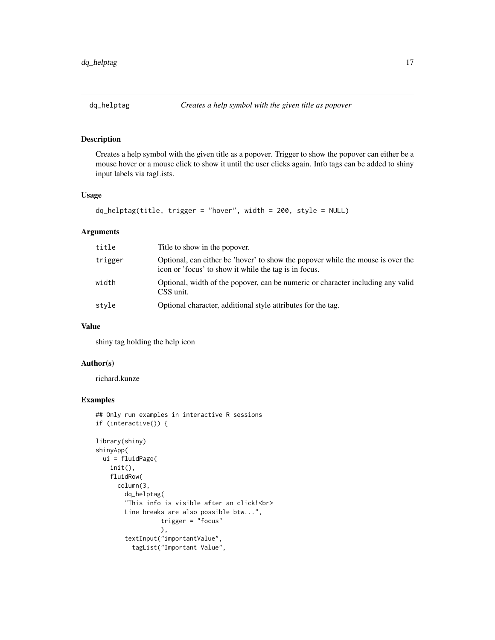<span id="page-16-0"></span>

Creates a help symbol with the given title as a popover. Trigger to show the popover can either be a mouse hover or a mouse click to show it until the user clicks again. Info tags can be added to shiny input labels via tagLists.

#### Usage

```
dq_helptag(title, trigger = "hover", width = 200, style = NULL)
```
### Arguments

| title   | Title to show in the popover.                                                                                                            |
|---------|------------------------------------------------------------------------------------------------------------------------------------------|
| trigger | Optional, can either be 'hover' to show the popover while the mouse is over the<br>icon or 'focus' to show it while the tag is in focus. |
| width   | Optional, width of the popover, can be numeric or character including any valid<br>CSS unit.                                             |
| stvle   | Optional character, additional style attributes for the tag.                                                                             |

#### Value

shiny tag holding the help icon

### Author(s)

richard.kunze

```
## Only run examples in interactive R sessions
if (interactive()) {
library(shiny)
shinyApp(
 ui = fluidPage(
   init(),
   fluidRow(
     column(3,
       dq_helptag(
        "This info is visible after an click!<br>
       Line breaks are also possible btw...",
                  trigger = "focus"
                  ),
        textInput("importantValue",
          tagList("Important Value",
```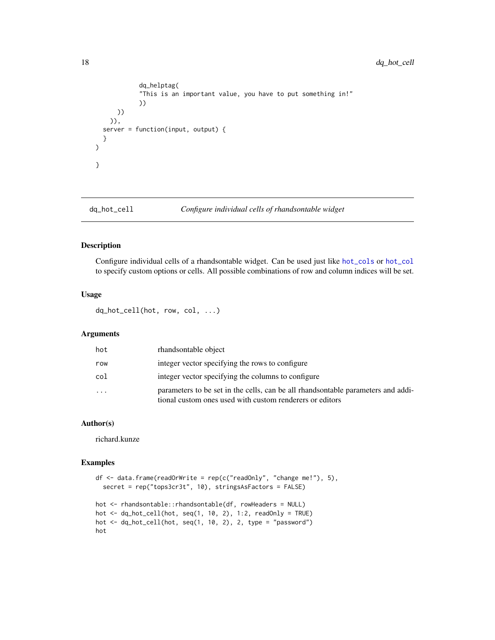```
dq_helptag(
            "This is an important value, you have to put something in!"
            ))
     ))
   )),
 server = function(input, output) {
 }
)
}
```

```
dq_hot_cell Configure individual cells of rhandsontable widget
```
Configure individual cells of a rhandsontable widget. Can be used just like [hot\\_cols](#page-0-0) or [hot\\_col](#page-0-0) to specify custom options or cells. All possible combinations of row and column indices will be set.

#### Usage

dq\_hot\_cell(hot, row, col, ...)

### Arguments

| hot       | rhandsontable object                                                                                                                         |
|-----------|----------------------------------------------------------------------------------------------------------------------------------------------|
| row       | integer vector specifying the rows to configure                                                                                              |
| col       | integer vector specifying the columns to configure                                                                                           |
| $\ddotsc$ | parameters to be set in the cells, can be all rhandsontable parameters and addi-<br>tional custom ones used with custom renderers or editors |

### Author(s)

richard.kunze

```
df \le data.frame(readOrWrite = rep(c("readOnly", "change me!"), 5),
  secret = rep("tops3cr3t", 10), stringsAsFactors = FALSE)
hot <- rhandsontable::rhandsontable(df, rowHeaders = NULL)
hot \leq dq_hot_cell(hot, seq(1, 10, 2), 1:2, readOnly = TRUE)
hot \leq dq_hot_cell(hot, seq(1, 10, 2), 2, type = "password")
hot
```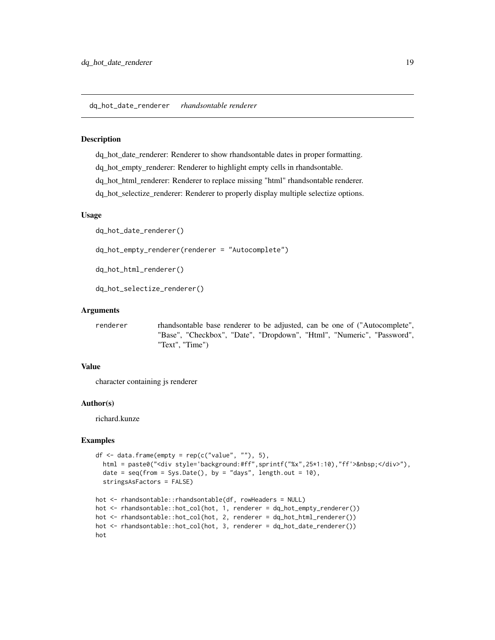<span id="page-18-0"></span>dq\_hot\_date\_renderer *rhandsontable renderer*

#### Description

dq\_hot\_date\_renderer: Renderer to show rhandsontable dates in proper formatting. dq\_hot\_empty\_renderer: Renderer to highlight empty cells in rhandsontable. dq\_hot\_html\_renderer: Renderer to replace missing "html" rhandsontable renderer. dq\_hot\_selectize\_renderer: Renderer to properly display multiple selectize options.

#### Usage

```
dq_hot_date_renderer()
```
dq\_hot\_empty\_renderer(renderer = "Autocomplete")

```
dq_hot_html_renderer()
```

```
dq_hot_selectize_renderer()
```
#### Arguments

renderer rhandsontable base renderer to be adjusted, can be one of ("Autocomplete", "Base", "Checkbox", "Date", "Dropdown", "Html", "Numeric", "Password", "Text", "Time")

#### Value

character containing js renderer

### Author(s)

richard.kunze

```
df \leq data.frame(empty = rep(c("value", ""), 5),
  html = paste0("<div style='background:#ff",sprintf("%x",25*1:10),"ff'>&nbsp;</div>"),
  date = seq(from = Sys.Date(), by = "days", length.out = 10),stringsAsFactors = FALSE)
hot <- rhandsontable::rhandsontable(df, rowHeaders = NULL)
hot <- rhandsontable::hot_col(hot, 1, renderer = dq_hot_empty_renderer())
hot <- rhandsontable::hot_col(hot, 2, renderer = dq_hot_html_renderer())
hot <- rhandsontable::hot_col(hot, 3, renderer = dq_hot_date_renderer())
hot
```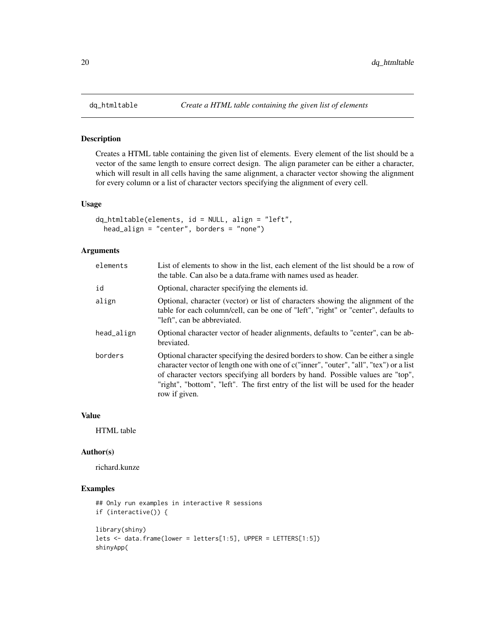Creates a HTML table containing the given list of elements. Every element of the list should be a vector of the same length to ensure correct design. The align parameter can be either a character, which will result in all cells having the same alignment, a character vector showing the alignment for every column or a list of character vectors specifying the alignment of every cell.

#### Usage

```
dq_htmltable(elements, id = NULL, align = "left",
 head_align = "center", borders = "none")
```
#### Arguments

| elements   | List of elements to show in the list, each element of the list should be a row of<br>the table. Can also be a data frame with names used as header.                                                                                                                                                                                                                   |
|------------|-----------------------------------------------------------------------------------------------------------------------------------------------------------------------------------------------------------------------------------------------------------------------------------------------------------------------------------------------------------------------|
| id         | Optional, character specifying the elements id.                                                                                                                                                                                                                                                                                                                       |
| align      | Optional, character (vector) or list of characters showing the alignment of the<br>table for each column/cell, can be one of "left", "right" or "center", defaults to<br>"left", can be abbreviated.                                                                                                                                                                  |
| head_align | Optional character vector of header alignments, defaults to "center", can be ab-<br>breviated.                                                                                                                                                                                                                                                                        |
| borders    | Optional character specifying the desired borders to show. Can be either a single<br>character vector of length one with one of c("inner", "outer", "all", "tex") or a list<br>of character vectors specifying all borders by hand. Possible values are "top",<br>"right", "bottom", "left". The first entry of the list will be used for the header<br>row if given. |

### Value

HTML table

#### Author(s)

richard.kunze

```
## Only run examples in interactive R sessions
if (interactive()) {
library(shiny)
lets <- data.frame(lower = letters[1:5], UPPER = LETTERS[1:5])
shinyApp(
```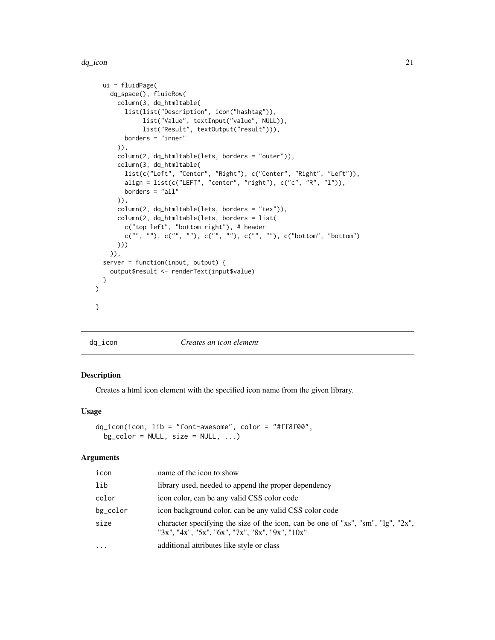<span id="page-20-0"></span>dq\_icon 21

```
ui = fluidPage(
   dq_space(), fluidRow(
      column(3, dq_htmltable(
       list(list("Description", icon("hashtag")),
             list("Value", textInput("value", NULL)),
             list("Result", textOutput("result"))),
       borders = "inner"
      )),
      column(2, dq_htmltable(lets, borders = "outer")),
      column(3, dq_htmltable(
        list(c("Left", "Center", "Right"), c("Center", "Right", "Left")),
        align = list(c("LEFT", "center", "right"), c("c", "R", "l")),
       borders = "all"
      )),
      column(2, dq_htmltable(lets, borders = "tex")),
      column(2, dq_htmltable(lets, borders = list(
        c("top left", "bottom right"), # header
        c("", ""), c("", ""), c("", ""), c("", ""), c(""", ""), c("bottom", "bottom"))))
   )),
 server = function(input, output) {
   output$result <- renderText(input$value)
 }
)
}
```
### dq\_icon *Creates an icon element*

#### Description

Creates a html icon element with the specified icon name from the given library.

#### Usage

```
dq_icon(icon, lib = "font-awesome", color = "#ff8f00",
 bg\_color = NULL, size = NULL, ...
```
### Arguments

| icon     | name of the icon to show                                                                                                            |
|----------|-------------------------------------------------------------------------------------------------------------------------------------|
| lib      | library used, needed to append the proper dependency                                                                                |
| color    | icon color, can be any valid CSS color code                                                                                         |
| bg_color | icon background color, can be any valid CSS color code                                                                              |
| size     | character specifying the size of the icon, can be one of "xs", "sm", "lg", "2x",<br>"3x", "4x", "5x", "6x", "7x", "8x", "9x", "10x" |
| $\cdots$ | additional attributes like style or class                                                                                           |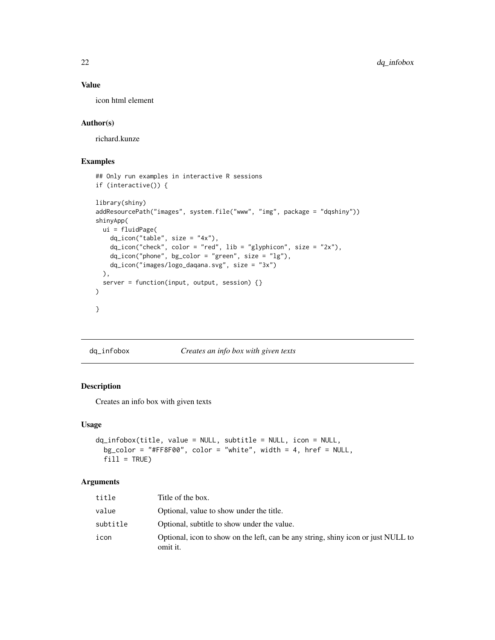### Value

icon html element

### Author(s)

richard.kunze

### Examples

```
## Only run examples in interactive R sessions
if (interactive()) {
library(shiny)
addResourcePath("images", system.file("www", "img", package = "dqshiny"))
shinyApp(
 ui = fluidPage(
   dq\_icon("table", size = "4x"),dq_icon("check", color = "red", lib = "glyphicon", size = "2x"),
    dq_icon("phone", bg_color = "green", size = "lg"),
   dq_icon("images/logo_daqana.svg", size = "3x")
  ),
  server = function(input, output, session) {}
)
}
```
dq\_infobox *Creates an info box with given texts*

### Description

Creates an info box with given texts

#### Usage

```
dq_infobox(title, value = NULL, subtitle = NULL, icon = NULL,
 bg\_color = "HFF8F00", color = "white", width = 4, href = NULL,fill = TRUE)
```
#### Arguments

| title    | Title of the box.                                                                             |
|----------|-----------------------------------------------------------------------------------------------|
| value    | Optional, value to show under the title.                                                      |
| subtitle | Optional, subtitle to show under the value.                                                   |
| icon     | Optional, icon to show on the left, can be any string, shiny icon or just NULL to<br>omit it. |

<span id="page-21-0"></span>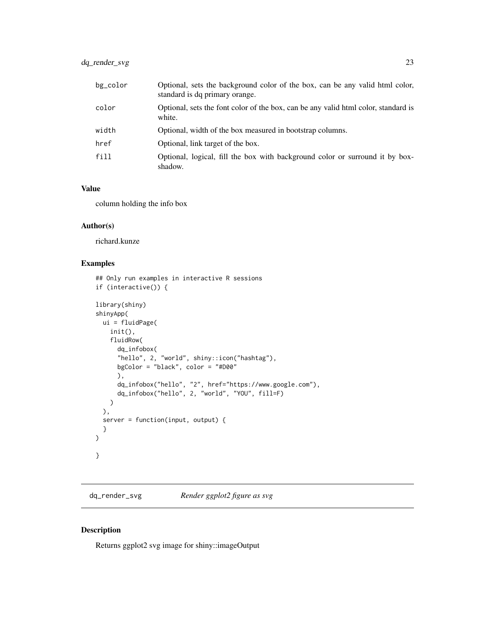### <span id="page-22-0"></span>dq\_render\_svg 23

| bg_color | Optional, sets the background color of the box, can be any valid html color,<br>standard is dq primary orange. |
|----------|----------------------------------------------------------------------------------------------------------------|
| color    | Optional, sets the font color of the box, can be any valid html color, standard is<br>white.                   |
| width    | Optional, width of the box measured in bootstrap columns.                                                      |
| href     | Optional, link target of the box.                                                                              |
| fill     | Optional, logical, fill the box with background color or surround it by box-<br>shadow.                        |

### Value

column holding the info box

### Author(s)

richard.kunze

### Examples

```
## Only run examples in interactive R sessions
if (interactive()) {
library(shiny)
shinyApp(
 ui = fluidPage(
    init(),
    fluidRow(
      dq_infobox(
      "hello", 2, "world", shiny::icon("hashtag"),
      bgColor = "black", color = "#D00"
      ),
      dq_infobox("hello", "2", href="https://www.google.com"),
      dq_infobox("hello", 2, "world", "YOU", fill=F)
    )
  ),
  server = function(input, output) {
  }
\mathcal{L}}
```
dq\_render\_svg *Render ggplot2 figure as svg*

### Description

Returns ggplot2 svg image for shiny::imageOutput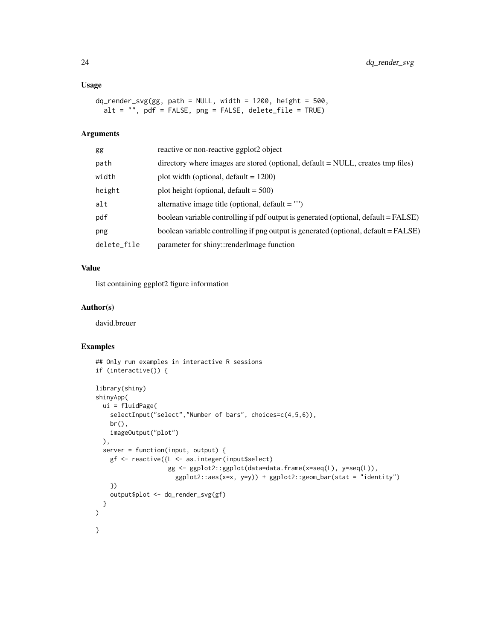### Usage

```
dq_render_svg(gg, path = NULL, width = 1200, height = 500,
 alt = ", pdf = FALSE, png = FALSE, delete_file = TRUE)
```
### Arguments

| gg          | reactive or non-reactive ggplot2 object                                             |
|-------------|-------------------------------------------------------------------------------------|
| path        | directory where images are stored (optional, default = NULL, creates tmp files)     |
| width       | plot width (optional, default $= 1200$ )                                            |
| height      | plot height (optional, default $= 500$ )                                            |
| alt         | alternative image title (optional, $default = ""$ )                                 |
| pdf         | boolean variable controlling if pdf output is generated (optional, default = FALSE) |
| png         | boolean variable controlling if png output is generated (optional, default = FALSE) |
| delete_file | parameter for shiny::renderImage function                                           |

### Value

list containing ggplot2 figure information

### Author(s)

david.breuer

```
## Only run examples in interactive R sessions
if (interactive()) {
library(shiny)
shinyApp(
  ui = fluidPage(
   selectInput("select", "Number of bars", choices=c(4,5,6)),
   br(),
   imageOutput("plot")
  ),
  server = function(input, output) {
   gf <- reactive({L <- as.integer(input$select)
                    gg <- ggplot2::ggplot(data=data.frame(x=seq(L), y=seq(L)),
                      ggplot2::aes(x=x, y=y)) + ggplot2::geom_bar(stat = "identity")
    })
    output$plot <- dq_render_svg(gf)
  }
)
}
```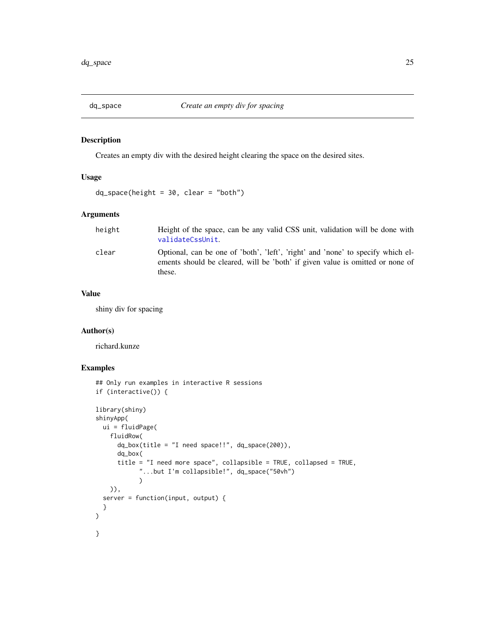<span id="page-24-0"></span>

Creates an empty div with the desired height clearing the space on the desired sites.

### Usage

 $dq$ \_space(height = 30, clear = "both")

### Arguments

height Height of the space, can be any valid CSS unit, validation will be done with [validateCssUnit](#page-0-0). clear Optional, can be one of 'both', 'left', 'right' and 'none' to specify which elements should be cleared, will be 'both' if given value is omitted or none of these.

### Value

shiny div for spacing

#### Author(s)

richard.kunze

```
## Only run examples in interactive R sessions
if (interactive()) {
library(shiny)
shinyApp(
 ui = fluidPage(
   fluidRow(
      dq_box(title = "I need space!!", dq_space(200)),dq_box(
      title = "I need more space", collapsible = TRUE, collapsed = TRUE,
            "...but I'm collapsible!", dq_space("50vh")
            \lambda)),
 server = function(input, output) {
 }
)
}
```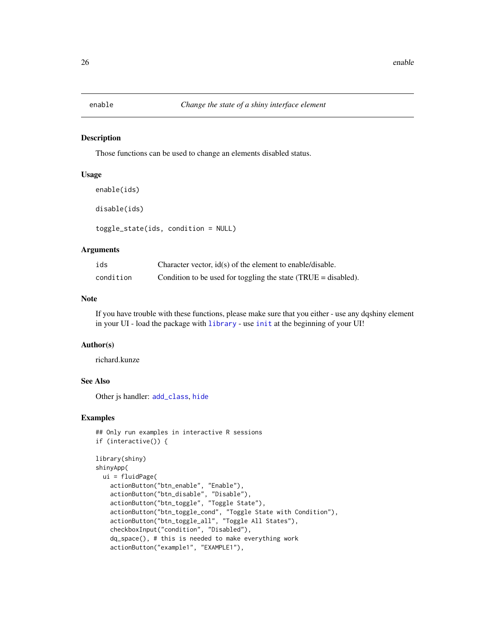<span id="page-25-1"></span><span id="page-25-0"></span>

Those functions can be used to change an elements disabled status.

#### Usage

```
enable(ids)
disable(ids)
toggle_state(ids, condition = NULL)
```
#### Arguments

| ids       | Character vector, $id(s)$ of the element to enable/disable.        |
|-----------|--------------------------------------------------------------------|
| condition | Condition to be used for toggling the state $(TRUE = disabeled)$ . |

### Note

If you have trouble with these functions, please make sure that you either - use any dqshiny element in your UI - load the package with [library](#page-0-0) - use [init](#page-30-1) at the beginning of your UI!

#### Author(s)

richard.kunze

### See Also

Other js handler: [add\\_class](#page-1-1), [hide](#page-27-1)

```
## Only run examples in interactive R sessions
if (interactive()) {
library(shiny)
shinyApp(
  ui = fluidPage(
    actionButton("btn_enable", "Enable"),
    actionButton("btn_disable", "Disable"),
   actionButton("btn_toggle", "Toggle State"),
    actionButton("btn_toggle_cond", "Toggle State with Condition"),
    actionButton("btn_toggle_all", "Toggle All States"),
    checkboxInput("condition", "Disabled"),
    dq_space(), # this is needed to make everything work
    actionButton("example1", "EXAMPLE1"),
```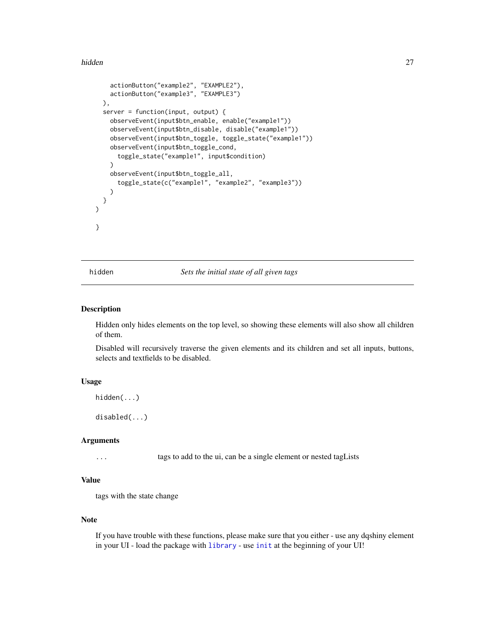#### <span id="page-26-0"></span>hidden 27

```
actionButton("example2", "EXAMPLE2"),
   actionButton("example3", "EXAMPLE3")
 ),
 server = function(input, output) {
   observeEvent(input$btn_enable, enable("example1"))
   observeEvent(input$btn_disable, disable("example1"))
    observeEvent(input$btn_toggle, toggle_state("example1"))
    observeEvent(input$btn_toggle_cond,
      toggle_state("example1", input$condition)
   \lambdaobserveEvent(input$btn_toggle_all,
      toggle_state(c("example1", "example2", "example3"))
    )
 }
)
}
```
hidden *Sets the initial state of all given tags*

#### Description

Hidden only hides elements on the top level, so showing these elements will also show all children of them.

Disabled will recursively traverse the given elements and its children and set all inputs, buttons, selects and textfields to be disabled.

### Usage

```
hidden(...)
```
disabled(...)

#### Arguments

... tags to add to the ui, can be a single element or nested tagLists

### Value

tags with the state change

### Note

If you have trouble with these functions, please make sure that you either - use any dqshiny element in your UI - load the package with [library](#page-0-0) - use [init](#page-30-1) at the beginning of your UI!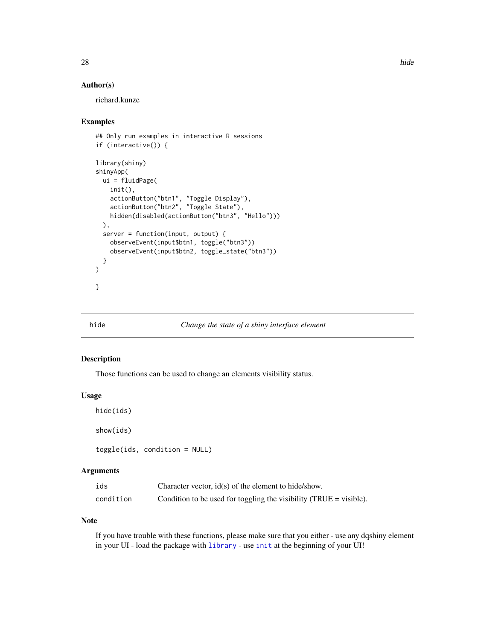### <span id="page-27-0"></span>Author(s)

richard.kunze

#### Examples

```
## Only run examples in interactive R sessions
if (interactive()) {
library(shiny)
shinyApp(
 ui = fluidPage(
   init(),
   actionButton("btn1", "Toggle Display"),
   actionButton("btn2", "Toggle State"),
   hidden(disabled(actionButton("btn3", "Hello")))
 ),
 server = function(input, output) {
   observeEvent(input$btn1, toggle("btn3"))
    observeEvent(input$btn2, toggle_state("btn3"))
 }
)
}
```
### <span id="page-27-1"></span>hide *Change the state of a shiny interface element*

#### Description

Those functions can be used to change an elements visibility status.

### Usage

```
hide(ids)
```
show(ids)

toggle(ids, condition = NULL)

### Arguments

| ids       | Character vector, id(s) of the element to hide/show.               |
|-----------|--------------------------------------------------------------------|
| condition | Condition to be used for toggling the visibility (TRUE = visible). |

### Note

If you have trouble with these functions, please make sure that you either - use any dqshiny element in your UI - load the package with [library](#page-0-0) - use [init](#page-30-1) at the beginning of your UI!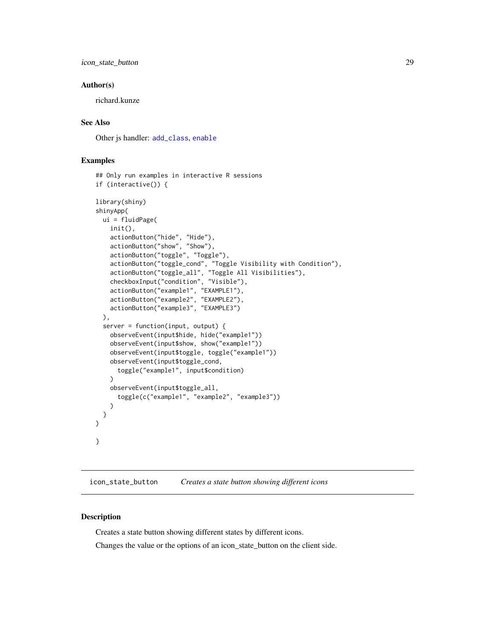<span id="page-28-0"></span>icon\_state\_button 29

#### Author(s)

richard.kunze

### See Also

Other js handler: [add\\_class](#page-1-1), [enable](#page-25-1)

### Examples

```
## Only run examples in interactive R sessions
if (interactive()) {
library(shiny)
shinyApp(
 ui = fluidPage(
   init(),
   actionButton("hide", "Hide"),
   actionButton("show", "Show"),
   actionButton("toggle", "Toggle"),
   actionButton("toggle_cond", "Toggle Visibility with Condition"),
    actionButton("toggle_all", "Toggle All Visibilities"),
    checkboxInput("condition", "Visible"),
    actionButton("example1", "EXAMPLE1"),
    actionButton("example2", "EXAMPLE2"),
    actionButton("example3", "EXAMPLE3")
 ),
 server = function(input, output) {
   observeEvent(input$hide, hide("example1"))
   observeEvent(input$show, show("example1"))
   observeEvent(input$toggle, toggle("example1"))
   observeEvent(input$toggle_cond,
      toggle("example1", input$condition)
    \lambdaobserveEvent(input$toggle_all,
      toggle(c("example1", "example2", "example3"))
    )
 }
)
}
```
icon\_state\_button *Creates a state button showing different icons*

### Description

Creates a state button showing different states by different icons.

Changes the value or the options of an icon\_state\_button on the client side.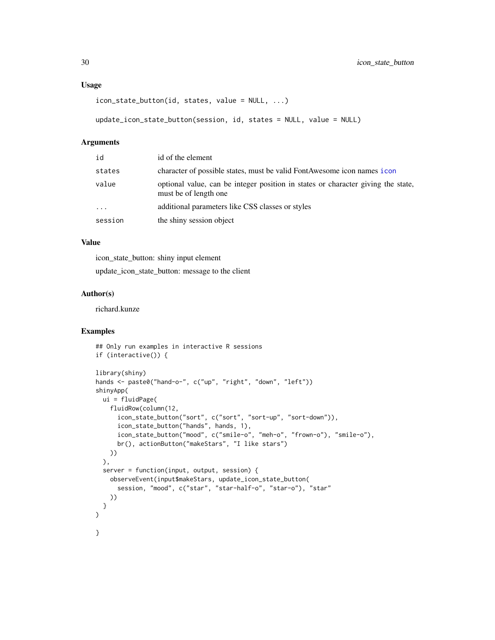#### <span id="page-29-0"></span>Usage

```
icon_state_button(id, states, value = NULL, ...)
update_icon_state_button(session, id, states = NULL, value = NULL)
```
### Arguments

| id      | id of the element                                                                                         |
|---------|-----------------------------------------------------------------------------------------------------------|
| states  | character of possible states, must be valid FontAwesome icon names icon                                   |
| value   | optional value, can be integer position in states or character giving the state,<br>must be of length one |
| $\cdot$ | additional parameters like CSS classes or styles                                                          |
| session | the shiny session object                                                                                  |

### Value

icon\_state\_button: shiny input element

update\_icon\_state\_button: message to the client

#### Author(s)

richard.kunze

```
## Only run examples in interactive R sessions
if (interactive()) {
library(shiny)
hands <- paste0("hand-o-", c("up", "right", "down", "left"))
shinyApp(
  ui = fluidPage(
   fluidRow(column(12,
      icon_state_button("sort", c("sort", "sort-up", "sort-down")),
      icon_state_button("hands", hands, 1),
      icon_state_button("mood", c("smile-o", "meh-o", "frown-o"), "smile-o"),
      br(), actionButton("makeStars", "I like stars")
   ))
  ),
  server = function(input, output, session) {
   observeEvent(input$makeStars, update_icon_state_button(
      session, "mood", c("star", "star-half-o", "star-o"), "star"
   ))
  }
\mathcal{L}}
```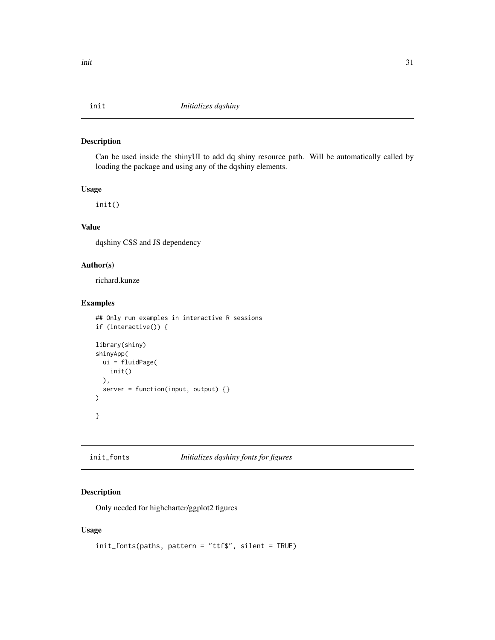<span id="page-30-1"></span><span id="page-30-0"></span>

Can be used inside the shinyUI to add dq shiny resource path. Will be automatically called by loading the package and using any of the dqshiny elements.

#### Usage

init()

### Value

dqshiny CSS and JS dependency

### Author(s)

richard.kunze

### Examples

```
## Only run examples in interactive R sessions
if (interactive()) {
library(shiny)
shinyApp(
  ui = fluidPage(
   init()
  ),
  server = function(input, output) {}
)
}
```
init\_fonts *Initializes dqshiny fonts for figures*

### Description

Only needed for highcharter/ggplot2 figures

### Usage

```
init_fonts(paths, pattern = "ttf$", silent = TRUE)
```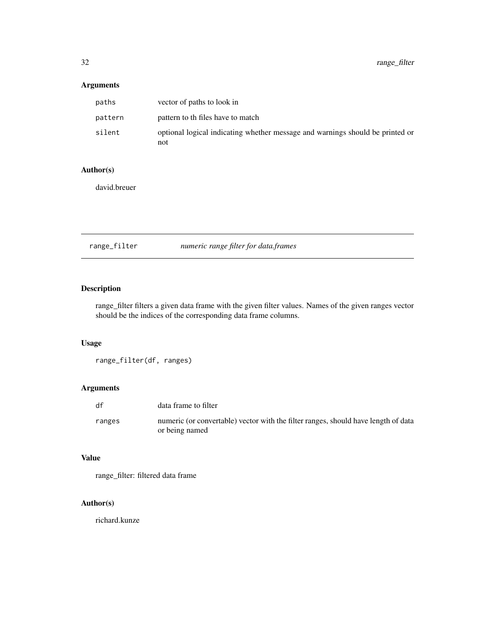### <span id="page-31-0"></span>Arguments

| paths   | vector of paths to look in                                                           |
|---------|--------------------------------------------------------------------------------------|
| pattern | pattern to the files have to match                                                   |
| silent  | optional logical indicating whether message and warnings should be printed or<br>not |

### Author(s)

david.breuer

range\_filter *numeric range filter for data.frames*

### Description

range\_filter filters a given data frame with the given filter values. Names of the given ranges vector should be the indices of the corresponding data frame columns.

### Usage

```
range_filter(df, ranges)
```
### Arguments

| df     | data frame to filter                                                                                 |
|--------|------------------------------------------------------------------------------------------------------|
| ranges | numeric (or convertable) vector with the filter ranges, should have length of data<br>or being named |

### Value

range\_filter: filtered data frame

### Author(s)

richard.kunze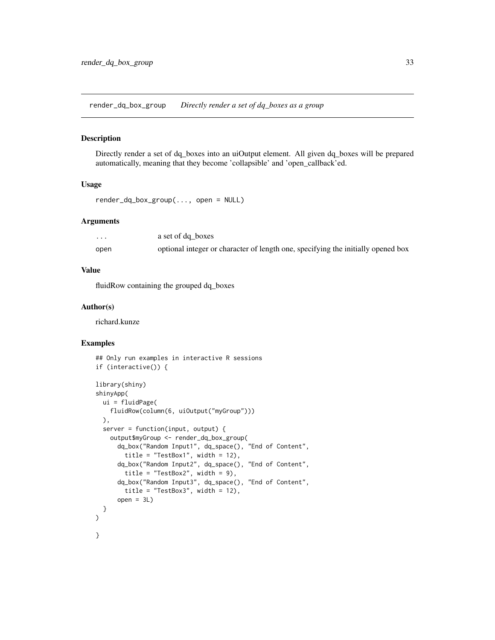<span id="page-32-0"></span>render\_dq\_box\_group *Directly render a set of dq\_boxes as a group*

#### Description

Directly render a set of dq\_boxes into an uiOutput element. All given dq\_boxes will be prepared automatically, meaning that they become 'collapsible' and 'open\_callback'ed.

#### Usage

```
render_dq_box_group(..., open = NULL)
```
#### Arguments

| .    | a set of dq boxes                                                                |
|------|----------------------------------------------------------------------------------|
| open | optional integer or character of length one, specifying the initially opened box |

#### Value

fluidRow containing the grouped dq\_boxes

#### Author(s)

richard.kunze

```
## Only run examples in interactive R sessions
if (interactive()) {
library(shiny)
shinyApp(
 ui = fluidPage(
   fluidRow(column(6, uiOutput("myGroup")))
 ),
 server = function(input, output) {
   output$myGroup <- render_dq_box_group(
     dq_box("Random Input1", dq_space(), "End of Content",
       title = "TestBox1", width = 12),
     dq_box("Random Input2", dq_space(), "End of Content",
       title = "TestBox2", width = 9),
     dq_box("Random Input3", dq_space(), "End of Content",
       title = "TestBox3", width = 12),
     open = 3L}
)
}
```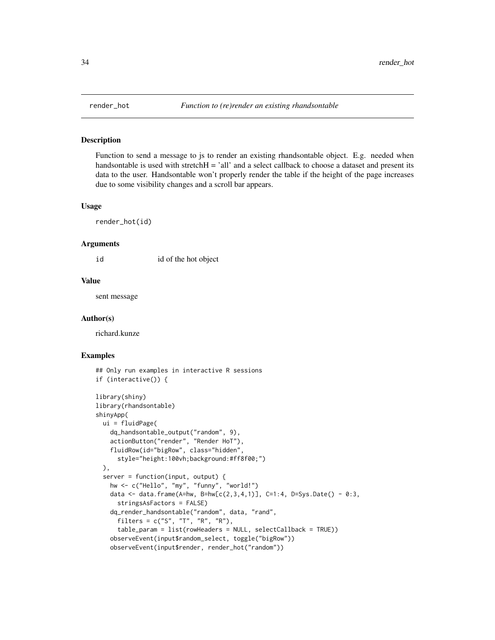<span id="page-33-0"></span>

Function to send a message to js to render an existing rhandsontable object. E.g. needed when handsontable is used with stretch $H = 'all'$  and a select callback to choose a dataset and present its data to the user. Handsontable won't properly render the table if the height of the page increases due to some visibility changes and a scroll bar appears.

#### Usage

render\_hot(id)

#### Arguments

id id of the hot object

#### Value

sent message

#### Author(s)

richard.kunze

```
## Only run examples in interactive R sessions
if (interactive()) {
library(shiny)
library(rhandsontable)
shinyApp(
 ui = fluidPage(
   dq_handsontable_output("random", 9),
   actionButton("render", "Render HoT"),
   fluidRow(id="bigRow", class="hidden",
     style="height:100vh;background:#ff8f00;")
 ),
 server = function(input, output) {
   hw <- c("Hello", "my", "funny", "world!")
   data <- data.frame(A=hw, B=hw[c(2,3,4,1)], C=1:4, D=Sys.Date() - 0:3,
     stringsAsFactors = FALSE)
   dq_render_handsontable("random", data, "rand",
     filters = c("S", "T", "R", "R"),table_param = list(rowHeaders = NULL, selectCallback = TRUE))
    observeEvent(input$random_select, toggle("bigRow"))
    observeEvent(input$render, render_hot("random"))
```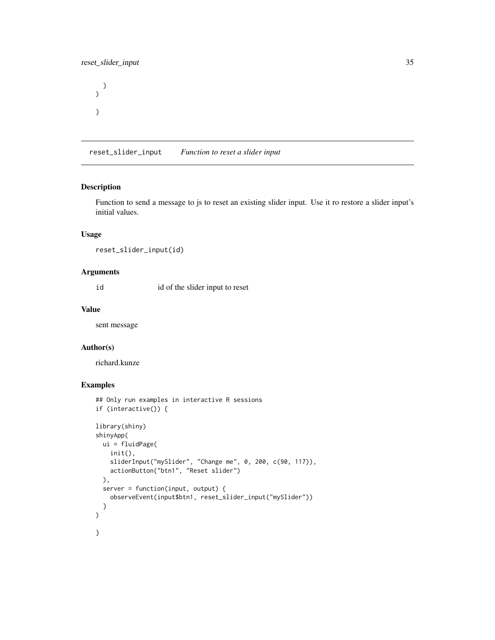<span id="page-34-0"></span>}  $\mathcal{L}$ }

reset\_slider\_input *Function to reset a slider input*

### Description

Function to send a message to js to reset an existing slider input. Use it ro restore a slider input's initial values.

#### Usage

reset\_slider\_input(id)

### Arguments

id id of the slider input to reset

#### Value

sent message

#### Author(s)

richard.kunze

```
## Only run examples in interactive R sessions
if (interactive()) {
library(shiny)
shinyApp(
 ui = fluidPage(
   init(),
   sliderInput("mySlider", "Change me", 0, 200, c(90, 117)),
   actionButton("btn1", "Reset slider")
 ),
 server = function(input, output) {
   observeEvent(input$btn1, reset_slider_input("mySlider"))
 }
)
}
```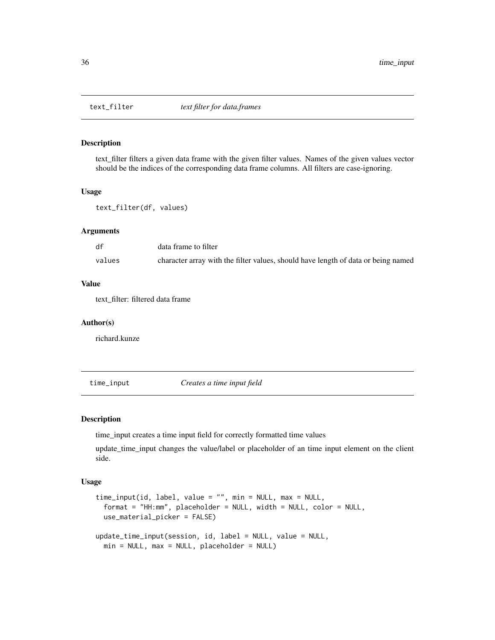<span id="page-35-0"></span>

text\_filter filters a given data frame with the given filter values. Names of the given values vector should be the indices of the corresponding data frame columns. All filters are case-ignoring.

#### Usage

text\_filter(df, values)

### Arguments

| df     | data frame to filter                                                              |
|--------|-----------------------------------------------------------------------------------|
| values | character array with the filter values, should have length of data or being named |

#### Value

text\_filter: filtered data frame

#### Author(s)

richard.kunze

time\_input *Creates a time input field*

#### Description

time\_input creates a time input field for correctly formatted time values

update\_time\_input changes the value/label or placeholder of an time input element on the client side.

#### Usage

```
time_input(id, label, value = "", min = NULL, max = NULL,
  format = "HH:mm", placeholder = NULL, width = NULL, color = NULL,
 use_material_picker = FALSE)
update_time_input(session, id, label = NULL, value = NULL,
 min = NULL, max = NULL, placeholder = NULL)
```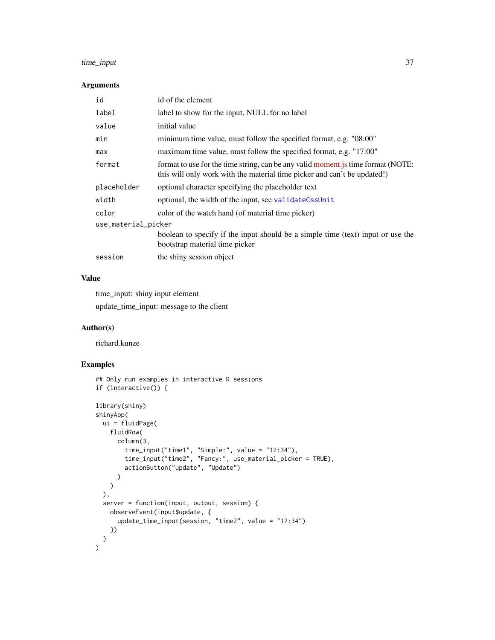### <span id="page-36-0"></span>time\_input 37

#### Arguments

| id                  | id of the element                                                                                                                                            |  |
|---------------------|--------------------------------------------------------------------------------------------------------------------------------------------------------------|--|
| label               | label to show for the input, NULL for no label                                                                                                               |  |
| value               | initial value                                                                                                                                                |  |
| min                 | minimum time value, must follow the specified format, e.g. "08:00"                                                                                           |  |
| max                 | maximum time value, must follow the specified format, e.g. "17:00"                                                                                           |  |
| format              | format to use for the time string, can be any valid moment js time format (NOTE:<br>this will only work with the material time picker and can't be updated!) |  |
| placeholder         | optional character specifying the placeholder text                                                                                                           |  |
| width               | optional, the width of the input, see validateCssUnit                                                                                                        |  |
| color               | color of the watch hand (of material time picker)                                                                                                            |  |
| use_material_picker |                                                                                                                                                              |  |
|                     | boolean to specify if the input should be a simple time (text) input or use the<br>bootstrap material time picker                                            |  |
| session             | the shiny session object                                                                                                                                     |  |

### Value

time\_input: shiny input element

update\_time\_input: message to the client

### Author(s)

richard.kunze

```
## Only run examples in interactive R sessions
if (interactive()) {
library(shiny)
shinyApp(
 ui = fluidPage(
   fluidRow(
      column(3,
        time_input("time1", "Simple:", value = "12:34"),
        time_input("time2", "Fancy:", use_material_picker = TRUE),
        actionButton("update", "Update")
      )
    \lambda),
  server = function(input, output, session) {
    observeEvent(input$update, {
      update_time_input(session, "time2", value = "12:34")
    })
 }
\overline{\phantom{a}}
```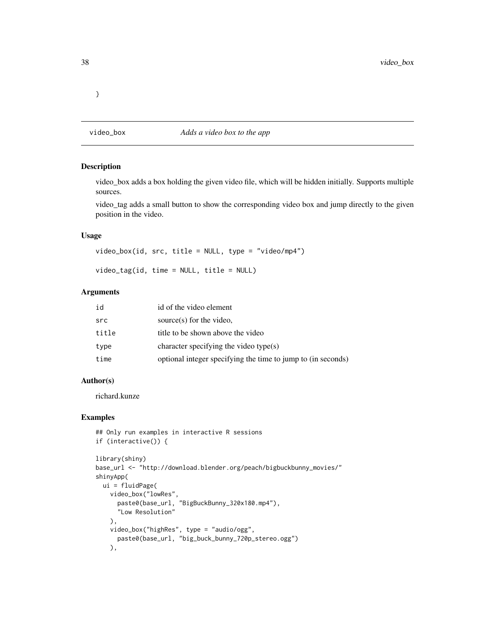<span id="page-37-0"></span>}

### video\_box *Adds a video box to the app*

#### Description

video\_box adds a box holding the given video file, which will be hidden initially. Supports multiple sources.

video\_tag adds a small button to show the corresponding video box and jump directly to the given position in the video.

### Usage

```
video_box(id, src, title = NULL, type = "video/mp4")
```
video\_tag(id, time = NULL, title = NULL)

#### Arguments

| id    | id of the video element                                      |
|-------|--------------------------------------------------------------|
| src   | source $(s)$ for the video,                                  |
| title | title to be shown above the video                            |
| type  | character specifying the video type $(s)$                    |
| time  | optional integer specifying the time to jump to (in seconds) |

### Author(s)

richard.kunze

```
## Only run examples in interactive R sessions
if (interactive()) {
```

```
library(shiny)
base_url <- "http://download.blender.org/peach/bigbuckbunny_movies/"
shinyApp(
  ui = fluidPage(
    video_box("lowRes",
      paste0(base_url, "BigBuckBunny_320x180.mp4"),
      "Low Resolution"
   ),
   video_box("highRes", type = "audio/ogg",
      paste0(base_url, "big_buck_bunny_720p_stereo.ogg")
    ),
```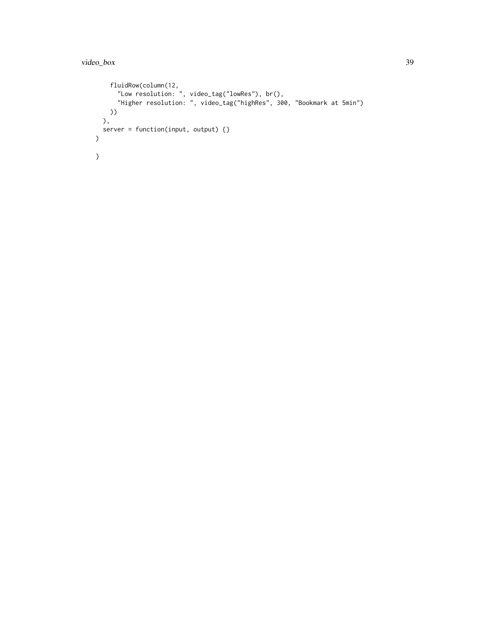### video\_box 39

```
fluidRow(column(12,
       "Low resolution: ", video_tag("lowRes"), br(),
       "Higher resolution: ", video_tag("highRes", 300, "Bookmark at 5min")
   ))
 ),
  server = function(input, output) {}
\overline{)}}
```